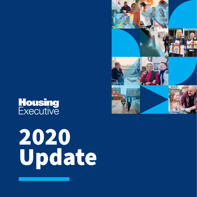# **Housing**<br>Executive



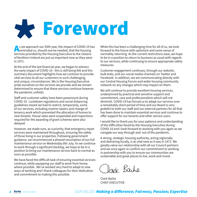# Foreword

As we approach our 50th year, the impact of COVID-19 has<br>reminded us, should one be needed, that the housing<br>convices provided by the Housing Executive to the citizens services provided by the Housing Executive to the citizens of Northern Ireland are just as important now as they were in 1971.

At the end of the last financial year, we began to witness the early impact of COVID-19 - this is still being felt and this summary document highlights how we continue to provide vital services to all our customers in such challenging, and unique, circumstances. We in the Housing Executive pride ourselves on the services we provide and we remain determined to ensure that these services continue however the pandemic unfolds.

Staff and customer safety have been paramount during COVID-19. Lockdown regulations and social distancing guidelines meant we had to restrict, temporarily, some of our services, including routine repairs and change of tenancy work which prevented the allocation of homes to new tenants. House sales were suspended and inspections required for the awarding of grant schemes were also delayed.

However, we made sure, as a priority, that emergency repair services were maintained throughout, ensuring the safety of those living in our properties. Following government guidance, we recommenced a phased resumption of our full maintenance service on Wednesday 8th July. As we continue to work through a significant backlog, we hope to be in a position to bring our maintenance service back to normal as soon as possible.

We have faced the difficult task of ensuring essential services continue, while equipping our staff to work from home, where possible. We've worked very hard to adapt to new ways of working and I thank colleagues for their dedication and commitment to making this possible.

While this has been a challenging time for all of us, we look forward to the future with optimism and some sense of normality returning. As the current restrictions ease, we hope to be in a position to return to business as usual with regards to our services, while continuing to ensure appropriate safety measures.

Customer engagement continues, through our website, bulk texts, and our social media channels on Twitter and Facebook. In addition, we are communicating directly with our Central Housing Forum and wider housing community network on any changes which may impact on them.

We will continue to provide excellent housing services, underpinned by practical and sensitive support and commitment, care and professionalism which will not diminish. COVID-19 has forced us to adapt our services over a remarkably short period of time and our Board is very grateful to both our staff and our external partners for all that has been done to maintain essential services and continue to offer support for our tenants and other service users.

I would like to thank you for your patience and understanding of the difficulties faced by the Housing Executive during COVID-19 and I look forward to working with you again as we navigate our way through and out of the pandemic.

A strong, strategic housing authority, acting regionally and delivering locally, is as vital now as it was in 1971. We greatly value our relationship with all our Council partners and we once again re-confirm our commitment to working in partnership with you to ensure our communities are sustainable and great places to live, work and invest.

Park Barbe

Clark Bailie CHIEF EXECUTIVE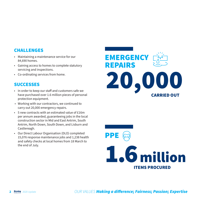- Maintaining a maintenance service for our 84,690 homes.
- Gaining access to homes to complete statutory servicing and inspections.
- Co-ordinating services from home.

# **SUCCESSES**

- In order to keep our staff and customers safe we have purchased over 1.6 million pieces of personal protection equipment.
- Working with our contractors, we continued to carry out 20,000 emergency repairs.
- 5 new contracts with an estimated value of £16m per annum awarded, guaranteeing jobs in the local construction sector in Mid and East Antrim, South Antrim, North Down, South Down, and Lisburn and Castlereagh.
- Our Direct Labour Organisation (DLO) completed 15,076 response maintenance jobs and 1,238 health and safety checks at local homes from 18 March to the end of July.



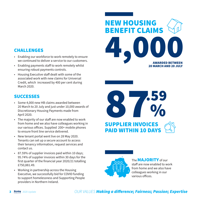- Enabling our workforce to work remotely to ensure we continued to deliver a service to our customers.
- Enabling payments staff to work remotely whilst ensuring robust payments controls.
- Housing Executive staff dealt with some of the associated work with new claims for Universal Credit, which increased by 400 per cent during March 2020.

# **SUCCESSES**

- Some 4,000 new HB claims awarded between 20 March to 20 July and just under 10,000 awards of Discretionary Housing Payments made from April 2020.
- The majority of our staff are now enabled to work from home and we also have colleagues working in our various offices. Supplied 200+ mobile phones to ensure front line service delivered.
- New tenant portal went live on 28 May 2020. Tenants can set up a secure account to access their tenancy information, request services and contact us.
- 87.59% of supplier invoices paid within 10 days; 95.74% of supplier invoices within 30 days for the first quarter of the financial year 2020/21 totalling £750,881.49.
- Working in partnership across the Housing Executive, we successfully bid for COVID funding to support homelessness and Supporting People providers in Northern Ireland.







The **MAJORITY** of our staff are now enabled to work from home and we also have colleagues working in our various offices.

### *OUR VALUES Making a difference; Fairness; Passion; Expertise*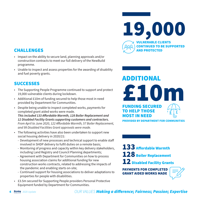- Impact on the ability to secure land, planning approvals and/or construction contracts to meet our full delivery of the NewBuild programme.
- Unable to inspect and assess properties for the awarding of disability and fuel poverty grants.

# **SUCCESSES**

- The Supporting People Programme continued to support and protect 19,000 vulnerable clients during lockdown.
- Additional £10m of funding secured to help those most in need provided by Department for Communities.
- Despite being unable to inspect completed works, payments for completed grant aided works were made.

*This included 133 Affordable Warmth, 128 Boiler Replacement and 12 Disabled Facility Grants supporting customers and contractors. From April to June 2020, 122 Affordable Warmth, 57 Boiler Replacement, and 99 Disabled Facilities Grant approvals were made.*

- The following activities have also been undertaken to support new social housing delivery in 2020/21:
	- Development of new processes and technical support to enable staff involved in SHDP delivery to fulfil duties on a remote basis;
	- Monitoring of progress and capacity within key delivery stakeholders, including Land Registry and Council Planning departments;
	- Agreement with Department for Communities on how to process housing association claims for additional funding for new construction works contracts, related to addressing the impacts of the pandemic and enabling starts on-site;
	- Continued support for housing associations to deliver adaptations to properties for people with disabilities.
- £3.5m secured for Supporting People providers Personal Protective Equipment funded by Department for Communities.



£10m ADDITIONAL FUNDING SECURED TO HELP THOSE MOST IN NEED PROVIDED BY DEPARTMENT FOR COMMUNITIES

133 Affordable Warmth 128 Boiler Replacement 12 Disabled Facility Grants

PAYMENTS FOR COMPLETED GRANT AIDED WORKS MADE

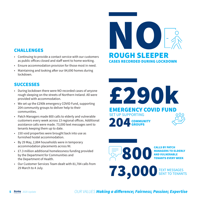- Continuing to provide a contact service with our customers as public offices closed and staff went to home working.
- Ensure accommodation provision for those most in need.
- Maintaining and looking after our 84,690 homes during lockdown.

# **SUCCESSES**

- During lockdown there were NO recorded cases of anyone rough sleeping on the streets of Northern Ireland. All were provided with accommodation.
- We set up the £290k emergency COVID Fund, supporting 204 community groups to deliver help to their communities.
- Patch Managers made 800 calls to elderly and vulnerable customers every week across 13 regional offices. Additional assistance calls were made. 73,000 text messages sent to tenants keeping them up to date.
- 150 void properties were brought back into use as furnished hostel accommodation.
- By 29 May, 2,884 households were in temporary accommodation placements across NI.
- £7.3 million additional homelessness funding provided by the Department for Communities and the Department of Health.
- Our Customer Services Team dealt with 81,784 calls from 29 March to 4 July.



£290k EMERGENCY COVID FUND SET UP SUPPORTING 204 COMMUNITY GROUPS

800 MANAGERS TO ELDERLY **AND VULNER** TENANTS EVERY WEEK **73,000**TEXT MESSAGES SENT TO TENANTS

### 5 2020 Update *OUR VALUES Making a difference; Fairness; Passion; Expertise*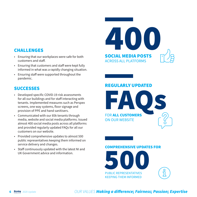- Ensuring that our workplaces were safe for both customers and staff.
- Ensuring that customers and staff were kept fully informed in what was a rapidly changing situation.
- Ensuring staff were supported throughout the pandemic.

# **SUCCESSES**

- Developed specific COVID-19 risk assessments for all our buildings and for staff interacting with tenants. Implemented measures such as Perspex screens, one way systems, floor signage and provision of PPE and hand sanitisers.
- Communicated with our 85k tenants through media, website and social media platforms. Issued almost 400 social media posts across all platforms and provided regularly updated FAQs for all our customers on our website.
- Provided comprehensive updates to almost 500 public representatives keeping them informed on service delivery and changes.
- Staff continuously updated with the latest NI and UK Government advice and information.



# REGULARLY UPDATED

FAQS FOR ALL CUSTOMERS ON OUR WEBSITE

#### COMPREHENSIVE UPDATES FOR



## 6 2020 Update *OUR VALUES Making a difference; Fairness; Passion; Expertise*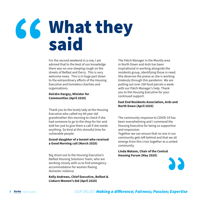# What they said

For the second weekend in a row, I am advised that to the best of our knowledge there was no-one sleeping rough on the streets of Belfast and Derry. This is very welcome news. This is in huge part down to the extraordinary efforts of the Housing Executive and homeless charities and organisations.

#### **Deirdre Hargey, Minister for Communities (April 2020)**

Thank you to the lovely lady at the Housing Executive who called my 84 year old grandmother this morning to check if she had someone to go to the shop for her and told her just to give them a call if she needs anything. So kind at this stressful time for vulnerable people.

#### **Grand-daughter of a tenant who received a Good Morning call (March 2020)**

Big shout out to the Housing Executive's Belfast Housing Solutions Team, who are working closely with us to find emergency accommodation for women fleeing domestic violence.

**Kelly Andrews, Chief Executive, Belfast & Lisburn Women's Aid (April 2020)**

The Patch Manager in the Movilla area in North Down and Ards has been inspirational in working alongside the residents group, identifying those in need. She deserves the praise as she is working tirelessly through this pandemic. We are putting out over 100 food parcels a week with our Patch Manager's help. Thank you to the Housing Executive for your continued support.

#### **East End Residents Association, Ards and North Down (April 2020)**

The community response to COVID-19 has been overwhelming and I commend the Housing Executive for being so supportive and responsive.

Together we can ensure that no one in our community gets left behind and that we all emerge from this crisis together as a united community.

**Linda Watson, Chair of the Central Housing Forum (May 2020)**